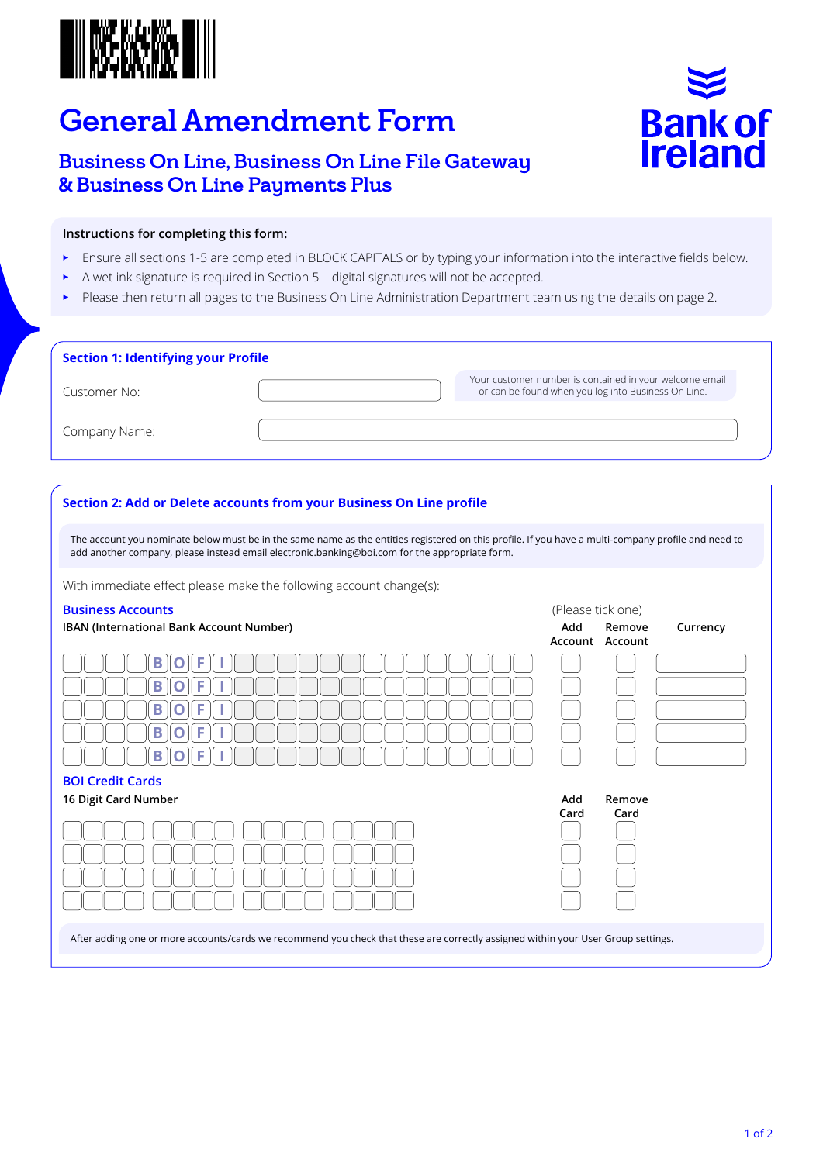

# General Amendment Form

## Business On Line, Business On Line File Gateway & Business On Line Payments Plus



### **Instructions for completing this form:**

- Ensure all sections 1-5 are completed in BLOCK CAPITALS or by typing your information into the interactive fields below.
- A wet ink signature is required in Section 5 digital signatures will not be accepted.
- Please then return all pages to the Business On Line Administration Department team using the details on page 2.

| <b>Section 1: Identifying your Profile</b> |                                                                                                                |
|--------------------------------------------|----------------------------------------------------------------------------------------------------------------|
| Customer No:                               | Your customer number is contained in your welcome email<br>or can be found when you log into Business On Line. |
| Company Name:                              |                                                                                                                |

#### **Section 2: Add or Delete accounts from your Business On Line profile**

The account you nominate below must be in the same name as the entities registered on this profile. If you have a multi-company profile and need to add another company, please instead email electronic.banking@boi.com for the appropriate form.

With immediate effect please make the following account change(s):

### **Business Accounts Business Accounts Business Accounts CONS**

| IBAN (International Bank Account Number) | Add         | Remove<br>Currency<br>Account Account |
|------------------------------------------|-------------|---------------------------------------|
| D                                        |             |                                       |
| Е<br>D                                   |             |                                       |
| D                                        |             |                                       |
| Е<br>R                                   |             |                                       |
| Е                                        |             |                                       |
| <b>BOI Credit Cards</b>                  |             |                                       |
| 16 Digit Card Number                     | Add<br>Card | Remove<br>Card                        |
|                                          |             |                                       |
|                                          |             |                                       |

After adding one or more accounts/cards we recommend you check that these are correctly assigned within your User Group settings.